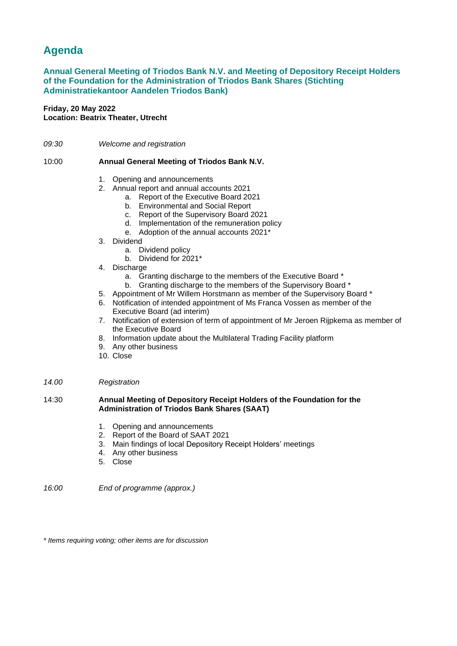# **Agenda**

## **Annual General Meeting of Triodos Bank N.V. and Meeting of Depository Receipt Holders of the Foundation for the Administration of Triodos Bank Shares (Stichting Administratiekantoor Aandelen Triodos Bank)**

## **Friday, 20 May 2022 Location: Beatrix Theater, Utrecht**

*09:30 Welcome and registration*

#### 10:00 **Annual General Meeting of Triodos Bank N.V.**

- 1. Opening and announcements
- 2. Annual report and annual accounts 2021
	- a. Report of the Executive Board 2021
		- b. Environmental and Social Report
		- c. Report of the Supervisory Board 2021
		- d. Implementation of the remuneration policy
		- e. Adoption of the annual accounts 2021\*
- 3. Dividend
	- a. Dividend policy
	- b. Dividend for 2021\*
- 4. Discharge
	- a. Granting discharge to the members of the Executive Board \*
	- b. Granting discharge to the members of the Supervisory Board \*
- 5. Appointment of Mr Willem Horstmann as member of the Supervisory Board \*
- 6. Notification of intended appointment of Ms Franca Vossen as member of the Executive Board (ad interim)
- 7. Notification of extension of term of appointment of Mr Jeroen Rijpkema as member of the Executive Board
- 8. Information update about the Multilateral Trading Facility platform
- 9. Any other business
- 10. Close

#### *14.00 Registration*

#### 14:30 **Annual Meeting of Depository Receipt Holders of the Foundation for the Administration of Triodos Bank Shares (SAAT)**

- 1. Opening and announcements
- 2. Report of the Board of SAAT 2021
- 3. Main findings of local Depository Receipt Holders' meetings
- 4. Any other business
- 5. Close

*16:00 End of programme (approx.)*

*\* Items requiring voting; other items are for discussion*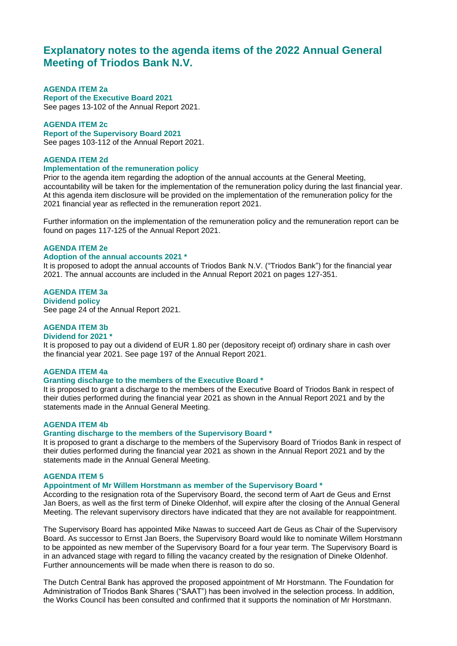## **Explanatory notes to the agenda items of the 2022 Annual General Meeting of Triodos Bank N.V.**

## **AGENDA ITEM 2a**

**Report of the Executive Board 2021** See pages 13-102 of the Annual Report 2021.

#### **AGENDA ITEM 2c**

**Report of the Supervisory Board 2021** See pages 103-112 of the Annual Report 2021.

### **AGENDA ITEM 2d**

#### **Implementation of the remuneration policy**

Prior to the agenda item regarding the adoption of the annual accounts at the General Meeting, accountability will be taken for the implementation of the remuneration policy during the last financial year. At this agenda item disclosure will be provided on the implementation of the remuneration policy for the 2021 financial year as reflected in the remuneration report 2021.

Further information on the implementation of the remuneration policy and the remuneration report can be found on pages 117-125 of the Annual Report 2021.

## **AGENDA ITEM 2e**

## **Adoption of the annual accounts 2021 \***

It is proposed to adopt the annual accounts of Triodos Bank N.V. ("Triodos Bank") for the financial year 2021. The annual accounts are included in the Annual Report 2021 on pages 127-351.

**AGENDA ITEM 3a Dividend policy** See page 24 of the Annual Report 2021.

## **AGENDA ITEM 3b**

#### **Dividend for 2021 \***

It is proposed to pay out a dividend of EUR 1.80 per (depository receipt of) ordinary share in cash over the financial year 2021. See page 197 of the Annual Report 2021.

#### **AGENDA ITEM 4a**

#### **Granting discharge to the members of the Executive Board \***

It is proposed to grant a discharge to the members of the Executive Board of Triodos Bank in respect of their duties performed during the financial year 2021 as shown in the Annual Report 2021 and by the statements made in the Annual General Meeting.

#### **AGENDA ITEM 4b**

#### **Granting discharge to the members of the Supervisory Board \***

It is proposed to grant a discharge to the members of the Supervisory Board of Triodos Bank in respect of their duties performed during the financial year 2021 as shown in the Annual Report 2021 and by the statements made in the Annual General Meeting.

#### **AGENDA ITEM 5**

#### **Appointment of Mr Willem Horstmann as member of the Supervisory Board \***

According to the resignation rota of the Supervisory Board, the second term of Aart de Geus and Ernst Jan Boers, as well as the first term of Dineke Oldenhof, will expire after the closing of the Annual General Meeting. The relevant supervisory directors have indicated that they are not available for reappointment.

The Supervisory Board has appointed Mike Nawas to succeed Aart de Geus as Chair of the Supervisory Board. As successor to Ernst Jan Boers, the Supervisory Board would like to nominate Willem Horstmann to be appointed as new member of the Supervisory Board for a four year term. The Supervisory Board is in an advanced stage with regard to filling the vacancy created by the resignation of Dineke Oldenhof. Further announcements will be made when there is reason to do so.

The Dutch Central Bank has approved the proposed appointment of Mr Horstmann. The Foundation for Administration of Triodos Bank Shares ("SAAT") has been involved in the selection process. In addition, the Works Council has been consulted and confirmed that it supports the nomination of Mr Horstmann.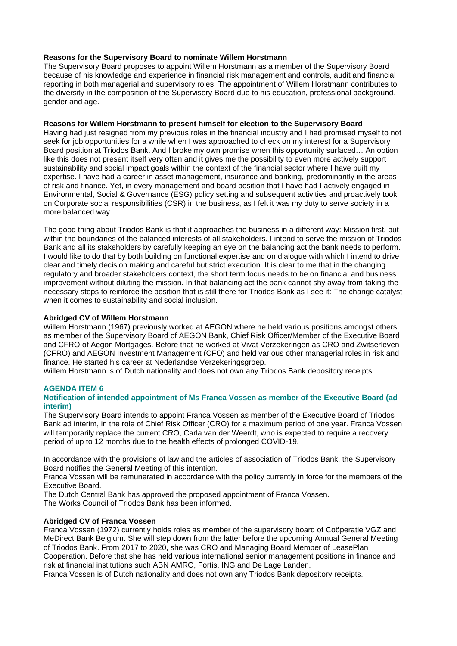### **Reasons for the Supervisory Board to nominate Willem Horstmann**

The Supervisory Board proposes to appoint Willem Horstmann as a member of the Supervisory Board because of his knowledge and experience in financial risk management and controls, audit and financial reporting in both managerial and supervisory roles. The appointment of Willem Horstmann contributes to the diversity in the composition of the Supervisory Board due to his education, professional background, gender and age.

#### **Reasons for Willem Horstmann to present himself for election to the Supervisory Board**

Having had just resigned from my previous roles in the financial industry and I had promised myself to not seek for job opportunities for a while when I was approached to check on my interest for a Supervisory Board position at Triodos Bank. And I broke my own promise when this opportunity surfaced… An option like this does not present itself very often and it gives me the possibility to even more actively support sustainability and social impact goals within the context of the financial sector where I have built my expertise. I have had a career in asset management, insurance and banking, predominantly in the areas of risk and finance. Yet, in every management and board position that I have had I actively engaged in Environmental, Social & Governance (ESG) policy setting and subsequent activities and proactively took on Corporate social responsibilities (CSR) in the business, as I felt it was my duty to serve society in a more balanced way.

The good thing about Triodos Bank is that it approaches the business in a different way: Mission first, but within the boundaries of the balanced interests of all stakeholders. I intend to serve the mission of Triodos Bank and all its stakeholders by carefully keeping an eye on the balancing act the bank needs to perform. I would like to do that by both building on functional expertise and on dialogue with which I intend to drive clear and timely decision making and careful but strict execution. It is clear to me that in the changing regulatory and broader stakeholders context, the short term focus needs to be on financial and business improvement without diluting the mission. In that balancing act the bank cannot shy away from taking the necessary steps to reinforce the position that is still there for Triodos Bank as I see it: The change catalyst when it comes to sustainability and social inclusion.

## **Abridged CV of Willem Horstmann**

Willem Horstmann (1967) previously worked at AEGON where he held various positions amongst others as member of the Supervisory Board of AEGON Bank, Chief Risk Officer/Member of the Executive Board and CFRO of Aegon Mortgages. Before that he worked at Vivat Verzekeringen as CRO and Zwitserleven (CFRO) and AEGON Investment Management (CFO) and held various other managerial roles in risk and finance. He started his career at Nederlandse Verzekeringsgroep.

Willem Horstmann is of Dutch nationality and does not own any Triodos Bank depository receipts.

## **AGENDA ITEM 6**

#### **Notification of intended appointment of Ms Franca Vossen as member of the Executive Board (ad interim)**

The Supervisory Board intends to appoint Franca Vossen as member of the Executive Board of Triodos Bank ad interim, in the role of Chief Risk Officer (CRO) for a maximum period of one year. Franca Vossen will temporarily replace the current CRO, Carla van der Weerdt, who is expected to require a recovery period of up to 12 months due to the health effects of prolonged COVID-19.

In accordance with the provisions of law and the articles of association of Triodos Bank, the Supervisory Board notifies the General Meeting of this intention.

Franca Vossen will be remunerated in accordance with the policy currently in force for the members of the Executive Board.

The Dutch Central Bank has approved the proposed appointment of Franca Vossen. The Works Council of Triodos Bank has been informed.

#### **Abridged CV of Franca Vossen**

Franca Vossen (1972) currently holds roles as member of the supervisory board of Coöperatie VGZ and MeDirect Bank Belgium. She will step down from the latter before the upcoming Annual General Meeting of Triodos Bank. From 2017 to 2020, she was CRO and Managing Board Member of LeasePlan Cooperation. Before that she has held various international senior management positions in finance and

risk at financial institutions such ABN AMRO, Fortis, ING and De Lage Landen. Franca Vossen is of Dutch nationality and does not own any Triodos Bank depository receipts.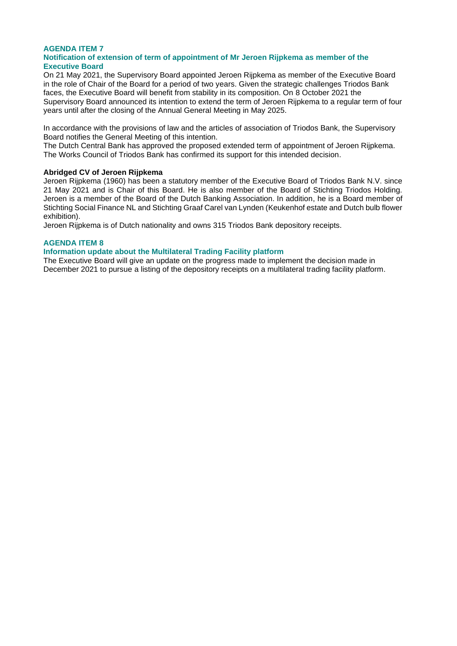#### **AGENDA ITEM 7 Notification of extension of term of appointment of Mr Jeroen Rijpkema as member of the Executive Board**

On 21 May 2021, the Supervisory Board appointed Jeroen Rijpkema as member of the Executive Board in the role of Chair of the Board for a period of two years. Given the strategic challenges Triodos Bank faces, the Executive Board will benefit from stability in its composition. On 8 October 2021 the Supervisory Board announced its intention to extend the term of Jeroen Rijpkema to a regular term of four years until after the closing of the Annual General Meeting in May 2025.

In accordance with the provisions of law and the articles of association of Triodos Bank, the Supervisory Board notifies the General Meeting of this intention.

The Dutch Central Bank has approved the proposed extended term of appointment of Jeroen Rijpkema. The Works Council of Triodos Bank has confirmed its support for this intended decision.

#### **Abridged CV of Jeroen Rijpkema**

Jeroen Rijpkema (1960) has been a statutory member of the Executive Board of Triodos Bank N.V. since 21 May 2021 and is Chair of this Board. He is also member of the Board of Stichting Triodos Holding. Jeroen is a member of the Board of the Dutch Banking Association. In addition, he is a Board member of Stichting Social Finance NL and Stichting Graaf Carel van Lynden (Keukenhof estate and Dutch bulb flower exhibition).

Jeroen Rijpkema is of Dutch nationality and owns 315 Triodos Bank depository receipts.

## **AGENDA ITEM 8**

#### **Information update about the Multilateral Trading Facility platform**

The Executive Board will give an update on the progress made to implement the decision made in December 2021 to pursue a listing of the depository receipts on a multilateral trading facility platform.